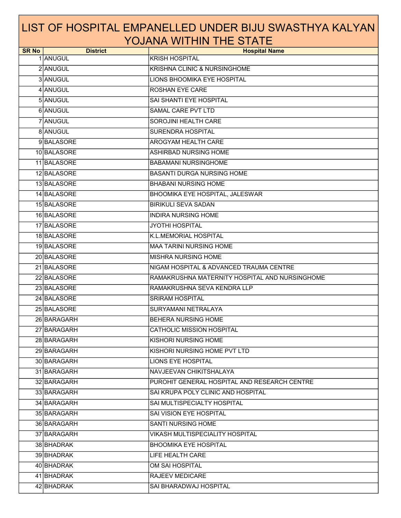| <b>SR No</b> | <b>District</b> | <b>Hospital Name</b>                           |
|--------------|-----------------|------------------------------------------------|
|              | 1 ANUGUL        | <b>KRISH HOSPITAL</b>                          |
|              | 2 ANUGUL        | KRISHNA CLINIC & NURSINGHOME                   |
|              | 3 ANUGUL        | LIONS BHOOMIKA EYE HOSPITAL                    |
|              | 4 ANUGUL        | ROSHAN EYE CARE                                |
|              | 5 ANUGUL        | SAI SHANTI EYE HOSPITAL                        |
|              | 6 ANUGUL        | SAMAL CARE PVT LTD                             |
|              | 7 ANUGUL        | SOROJINI HEALTH CARE                           |
|              | 8 ANUGUL        | <b>SURENDRA HOSPITAL</b>                       |
|              | 9BALASORE       | AROGYAM HEALTH CARE                            |
|              | 10 BALASORE     | ASHIRBAD NURSING HOME                          |
|              | 11 BALASORE     | <b>BABAMANI NURSINGHOME</b>                    |
|              | 12 BALASORE     | <b>BASANTI DURGA NURSING HOME</b>              |
|              | 13 BALASORE     | <b>BHABANI NURSING HOME</b>                    |
|              | 14 BALASORE     | BHOOMIKA EYE HOSPITAL, JALESWAR                |
|              | 15 BALASORE     | <b>BIRIKULI SEVA SADAN</b>                     |
|              | 16 BALASORE     | <b>INDIRA NURSING HOME</b>                     |
|              | 17 BALASORE     | <b>JYOTHI HOSPITAL</b>                         |
|              | 18 BALASORE     | K.L.MEMORIAL HOSPITAL                          |
|              | 19 BALASORE     | <b>MAA TARINI NURSING HOME</b>                 |
|              | 20 BALASORE     | <b>MISHRA NURSING HOME</b>                     |
|              | 21 BALASORE     | NIGAM HOSPITAL & ADVANCED TRAUMA CENTRE        |
|              | 22 BALASORE     | RAMAKRUSHNA MATERNITY HOSPITAL AND NURSINGHOME |
|              | 23 BALASORE     | RAMAKRUSHNA SEVA KENDRA LLP                    |
|              | 24 BALASORE     | <b>SRIRAM HOSPITAL</b>                         |
|              | 25 BALASORE     | SURYAMANI NETRALAYA                            |
|              | 26 BARAGARH     | <b>BEHERA NURSING HOME</b>                     |
|              | 27 BARAGARH     | <b>CATHOLIC MISSION HOSPITAL</b>               |
|              | 28 BARAGARH     | <b>KISHORI NURSING HOME</b>                    |
|              | 29 BARAGARH     | KISHORI NURSING HOME PVT LTD                   |
|              | 30 BARAGARH     | <b>LIONS EYE HOSPITAL</b>                      |
|              | 31 BARAGARH     | NAVJEEVAN CHIKITSHALAYA                        |
|              | 32 BARAGARH     | PUROHIT GENERAL HOSPITAL AND RESEARCH CENTRE   |
|              | 33 BARAGARH     | SAI KRUPA POLY CLINIC AND HOSPITAL             |
|              | 34 BARAGARH     | SAI MULTISPECIALTY HOSPITAL                    |
|              | 35 BARAGARH     | SAI VISION EYE HOSPITAL                        |
|              | 36 BARAGARH     | <b>SANTI NURSING HOME</b>                      |
|              | 37 BARAGARH     | VIKASH MULTISPECIALITY HOSPITAL                |
|              | 38 BHADRAK      | <b>BHOOMIKA EYE HOSPITAL</b>                   |
|              | 39 BHADRAK      | LIFE HEALTH CARE                               |
|              | 40 BHADRAK      | OM SAI HOSPITAL                                |
|              | 41 BHADRAK      | <b>RAJEEV MEDICARE</b>                         |
|              | 42 BHADRAK      | SAI BHARADWAJ HOSPITAL                         |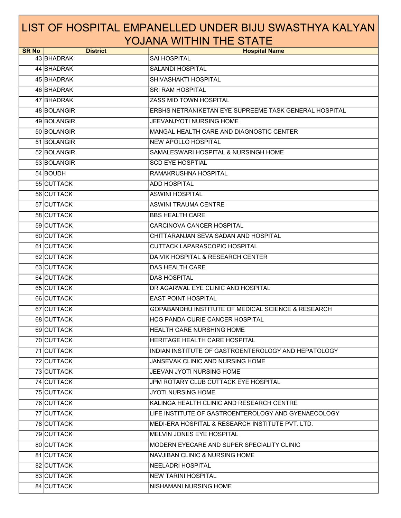| <b>SR No</b> | <b>District</b> | <b>Hospital Name</b>                                          |
|--------------|-----------------|---------------------------------------------------------------|
|              | 43 BHADRAK      | <b>SAI HOSPITAL</b>                                           |
|              | 44 BHADRAK      | <b>SALANDI HOSPITAL</b>                                       |
|              | 45 BHADRAK      | SHIVASHAKTI HOSPITAL                                          |
|              | 46 BHADRAK      | <b>SRI RAM HOSPITAL</b>                                       |
|              | 47 BHADRAK      | ZASS MID TOWN HOSPITAL                                        |
|              | 48 BOLANGIR     | ERBHS NETRANIKETAN EYE SUPREEME TASK GENERAL HOSPITAL         |
|              | 49 BOLANGIR     | JEEVANJYOTI NURSING HOME                                      |
|              | 50 BOLANGIR     | MANGAL HEALTH CARE AND DIAGNOSTIC CENTER                      |
|              | 51 BOLANGIR     | <b>NEW APOLLO HOSPITAL</b>                                    |
|              | 52 BOLANGIR     | SAMALESWARI HOSPITAL & NURSINGH HOME                          |
|              | 53 BOLANGIR     | <b>SCD EYE HOSPTIAL</b>                                       |
|              | 54 BOUDH        | RAMAKRUSHNA HOSPITAL                                          |
|              | 55 CUTTACK      | <b>ADD HOSPITAL</b>                                           |
|              | 56 CUTTACK      | <b>ASWINI HOSPITAL</b>                                        |
|              | 57 CUTTACK      | <b>ASWINI TRAUMA CENTRE</b>                                   |
|              | 58 CUTTACK      | <b>BBS HEALTH CARE</b>                                        |
|              | 59 CUTTACK      | <b>CARCINOVA CANCER HOSPITAL</b>                              |
|              | 60 CUTTACK      | CHITTARANJAN SEVA SADAN AND HOSPITAL                          |
|              | 61 CUTTACK      | CUTTACK LAPARASCOPIC HOSPITAL                                 |
|              | 62 CUTTACK      | DAIVIK HOSPITAL & RESEARCH CENTER                             |
|              | 63 CUTTACK      | DAS HEALTH CARE                                               |
|              | 64 CUTTACK      | <b>DAS HOSPITAL</b>                                           |
|              | 65 CUTTACK      | DR AGARWAL EYE CLINIC AND HOSPITAL                            |
|              | 66 CUTTACK      | <b>EAST POINT HOSPITAL</b>                                    |
|              | 67 CUTTACK      | <b>GOPABANDHU INSTITUTE OF MEDICAL SCIENCE &amp; RESEARCH</b> |
|              | 68 CUTTACK      | <b>HCG PANDA CURIE CANCER HOSPITAL</b>                        |
|              | 69 CUTTACK      | HEALTH CARE NURSHING HOME                                     |
|              | 70 CUTTACK      | HERITAGE HEALTH CARE HOSPITAL                                 |
|              | 71 CUTTACK      | INDIAN INSTITUTE OF GASTROENTEROLOGY AND HEPATOLOGY           |
|              | 72 CUTTACK      | JANSEVAK CLINIC AND NURSING HOME                              |
|              | 73 CUTTACK      | JEEVAN JYOTI NURSING HOME                                     |
|              | 74 CUTTACK      | JPM ROTARY CLUB CUTTACK EYE HOSPITAL                          |
|              | 75 CUTTACK      | <b>JYOTI NURSING HOME</b>                                     |
|              | 76 CUTTACK      | KALINGA HEALTH CLINIC AND RESEARCH CENTRE                     |
|              | 77 CUTTACK      | LIFE INSTITUTE OF GASTROENTEROLOGY AND GYENAECOLOGY           |
|              | 78 CUTTACK      | MEDI-ERA HOSPITAL & RESEARCH INSTITUTE PVT. LTD.              |
|              | 79 CUTTACK      | MELVIN JONES EYE HOSPITAL                                     |
|              | 80 CUTTACK      | MODERN EYECARE AND SUPER SPECIALITY CLINIC                    |
|              | 81 CUTTACK      | <b>NAVJIBAN CLINIC &amp; NURSING HOME</b>                     |
|              | 82 CUTTACK      | NEELADRI HOSPITAL                                             |
|              | 83 CUTTACK      | <b>NEW TARINI HOSPITAL</b>                                    |
|              | 84 CUTTACK      | NISHAMANI NURSING HOME                                        |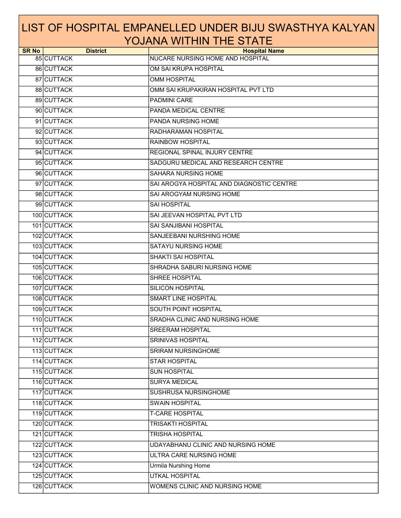| <b>SR No</b> | <b>District</b> | <b>Hospital Name</b>                      |
|--------------|-----------------|-------------------------------------------|
|              | 85 CUTTACK      | NUCARE NURSING HOME AND HOSPITAL          |
|              | 86 CUTTACK      | OM SAI KRUPA HOSPITAL                     |
|              | 87 CUTTACK      | <b>OMM HOSPITAL</b>                       |
|              | 88 CUTTACK      | OMM SAI KRUPAKIRAN HOSPITAL PVT LTD       |
|              | 89 CUTTACK      | PADMINI CARE                              |
|              | 90 CUTTACK      | PANDA MEDICAL CENTRE                      |
|              | 91 CUTTACK      | PANDA NURSING HOME                        |
|              | 92 CUTTACK      | RADHARAMAN HOSPITAL                       |
|              | 93 CUTTACK      | <b>RAINBOW HOSPITAL</b>                   |
|              | 94 CUTTACK      | REGIONAL SPINAL INJURY CENTRE             |
|              | 95 CUTTACK      | SADGURU MEDICAL AND RESEARCH CENTRE       |
|              | 96 CUTTACK      | SAHARA NURSING HOME                       |
|              | 97 CUTTACK      | SAI AROGYA HOSPITAL AND DIAGNOSTIC CENTRE |
|              | 98 CUTTACK      | SAI AROGYAM NURSING HOME                  |
|              | 99 CUTTACK      | <b>SAI HOSPITAL</b>                       |
|              | 100 CUTTACK     | SAI JEEVAN HOSPITAL PVT LTD               |
|              | 101 CUTTACK     | <b>SAI SANJIBANI HOSPITAL</b>             |
|              | 102 CUTTACK     | SANJEEBANI NURSHING HOME                  |
|              | 103 CUTTACK     | <b>SATAYU NURSING HOME</b>                |
|              | 104 CUTTACK     | <b>SHAKTI SAI HOSPITAL</b>                |
|              | 105 CUTTACK     | SHRADHA SABURI NURSING HOME               |
|              | 106 CUTTACK     | SHREE HOSPITAL                            |
|              | 107 CUTTACK     | <b>SILICON HOSPITAL</b>                   |
|              | 108 CUTTACK     | <b>SMART LINE HOSPITAL</b>                |
|              | 109 CUTTACK     | SOUTH POINT HOSPITAL                      |
|              | 110 CUTTACK     | SRADHA CLINIC AND NURSING HOME            |
|              | 111 CUTTACK     | <b>SREERAM HOSPITAL</b>                   |
|              | 112 CUTTACK     | <b>SRINIVAS HOSPITAL</b>                  |
|              | 113 CUTTACK     | SRIRAM NURSINGHOME                        |
|              | 114 CUTTACK     | <b>STAR HOSPITAL</b>                      |
|              | 115 CUTTACK     | <b>SUN HOSPITAL</b>                       |
|              | 116 CUTTACK     | <b>SURYA MEDICAL</b>                      |
|              | 117 CUTTACK     | SUSHRUSA NURSINGHOME                      |
|              | 118 CUTTACK     | <b>SWAIN HOSPITAL</b>                     |
|              | 119 CUTTACK     | <b>T-CARE HOSPITAL</b>                    |
|              | 120 CUTTACK     | <b>TRISAKTI HOSPITAL</b>                  |
|              | 121 CUTTACK     | TRISHA HOSPITAL                           |
|              | 122 CUTTACK     | UDAYABHANU CLINIC AND NURSING HOME        |
|              | 123 CUTTACK     | ULTRA CARE NURSING HOME                   |
|              | 124 CUTTACK     | <b>Urmila Nurshing Home</b>               |
|              | 125 CUTTACK     | UTKAL HOSPITAL                            |
|              | 126 CUTTACK     | WOMENS CLINIC AND NURSING HOME            |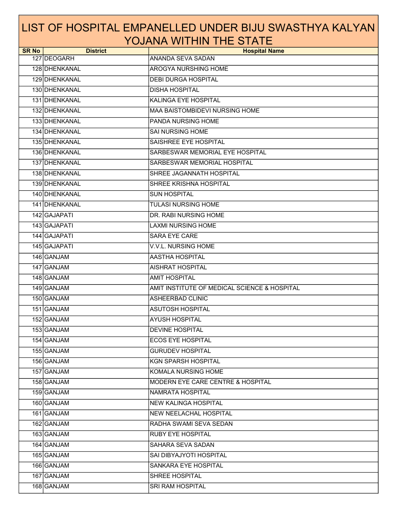| <b>SR No</b> | <b>District</b> | <b>Hospital Name</b>                         |
|--------------|-----------------|----------------------------------------------|
|              | 127 DEOGARH     | ANANDA SEVA SADAN                            |
|              | 128 DHENKANAL   | <b>AROGYA NURSHING HOME</b>                  |
|              | 129 DHENKANAL   | <b>DEBI DURGA HOSPITAL</b>                   |
|              | 130 DHENKANAL   | <b>DISHA HOSPITAL</b>                        |
|              | 131 DHENKANAL   | KALINGA EYE HOSPITAL                         |
|              | 132 DHENKANAL   | <b>MAA BAISTOMBIDEVI NURSING HOME</b>        |
|              | 133 DHENKANAL   | PANDA NURSING HOME                           |
|              | 134 DHENKANAL   | <b>SAI NURSING HOME</b>                      |
|              | 135 DHENKANAL   | SAISHREE EYE HOSPITAL                        |
|              | 136 DHENKANAL   | SARBESWAR MEMORIAL EYE HOSPITAL              |
|              | 137 DHENKANAL   | SARBESWAR MEMORIAL HOSPITAL                  |
|              | 138 DHENKANAL   | SHREE JAGANNATH HOSPITAL                     |
|              | 139 DHENKANAL   | SHREE KRISHNA HOSPITAL                       |
|              | 140 DHENKANAL   | <b>SUN HOSPITAL</b>                          |
|              | 141 DHENKANAL   | <b>TULASI NURSING HOME</b>                   |
|              | 142 GAJAPATI    | DR. RABI NURSING HOME                        |
|              | 143 GAJAPATI    | <b>LAXMI NURSING HOME</b>                    |
|              | 144 GAJAPATI    | <b>SARA EYE CARE</b>                         |
|              | 145 GAJAPATI    | V.V.L. NURSING HOME                          |
|              | 146 GANJAM      | <b>AASTHA HOSPITAL</b>                       |
|              | 147 GANJAM      | <b>AISHRAT HOSPITAL</b>                      |
|              | 148 GANJAM      | <b>AMIT HOSPITAL</b>                         |
|              | 149 GANJAM      | AMIT INSTITUTE OF MEDICAL SCIENCE & HOSPITAL |
|              | 150 GANJAM      | <b>ASHEERBAD CLINIC</b>                      |
|              | 151 GANJAM      | <b>ASUTOSH HOSPITAL</b>                      |
|              | 152 GANJAM      | <b>AYUSH HOSPITAL</b>                        |
|              | 153 GANJAM      | <b>DEVINE HOSPITAL</b>                       |
|              | 154 GANJAM      | <b>ECOS EYE HOSPITAL</b>                     |
|              | 155 GANJAM      | <b>GURUDEV HOSPITAL</b>                      |
|              | 156 GANJAM      | <b>KGN SPARSH HOSPITAL</b>                   |
|              | 157 GANJAM      | KOMALA NURSING HOME                          |
|              | 158 GANJAM      | <b>MODERN EYE CARE CENTRE &amp; HOSPITAL</b> |
|              | 159 GANJAM      | NAMRATA HOSPITAL                             |
|              | 160 GANJAM      | <b>NEW KALINGA HOSPITAL</b>                  |
|              | 161 GANJAM      | <b>NEW NEELACHAL HOSPITAL</b>                |
|              | 162 GANJAM      | RADHA SWAMI SEVA SEDAN                       |
|              | 163 GANJAM      | <b>RUBY EYE HOSPITAL</b>                     |
|              | 164 GANJAM      | SAHARA SEVA SADAN                            |
|              | 165 GANJAM      | SAI DIBYAJYOTI HOSPITAL                      |
|              | 166 GANJAM      | <b>SANKARA EYE HOSPITAL</b>                  |
|              | 167 GANJAM      | SHREE HOSPITAL                               |
|              | 168 GANJAM      | SRI RAM HOSPITAL                             |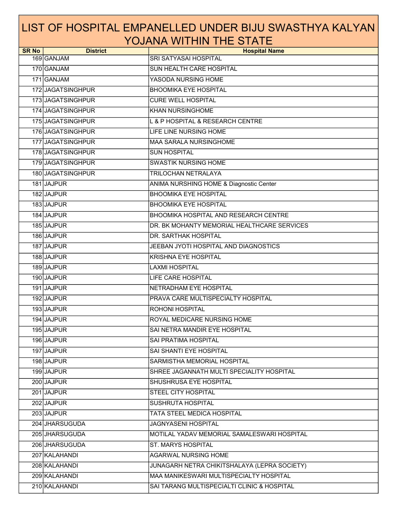| <b>SR No</b> | <b>District</b>   | <b>Hospital Name</b>                            |
|--------------|-------------------|-------------------------------------------------|
|              | 169 GANJAM        | SRI SATYASAI HOSPITAL                           |
|              | 170 GANJAM        | <b>SUN HEALTH CARE HOSPITAL</b>                 |
|              | 171 GANJAM        | YASODA NURSING HOME                             |
|              | 172 JAGATSINGHPUR | <b>BHOOMIKA EYE HOSPITAL</b>                    |
|              | 173 JAGATSINGHPUR | <b>CURE WELL HOSPITAL</b>                       |
|              | 174 JAGATSINGHPUR | <b>KHAN NURSINGHOME</b>                         |
|              | 175 JAGATSINGHPUR | <b>L &amp; P HOSPITAL &amp; RESEARCH CENTRE</b> |
|              | 176 JAGATSINGHPUR | LIFE LINE NURSING HOME                          |
|              | 177 JAGATSINGHPUR | MAA SARALA NURSINGHOME                          |
|              | 178 JAGATSINGHPUR | <b>SUN HOSPITAL</b>                             |
|              | 179 JAGATSINGHPUR | <b>SWASTIK NURSING HOME</b>                     |
|              | 180 JAGATSINGHPUR | TRILOCHAN NETRALAYA                             |
|              | 181 JAJPUR        | ANIMA NURSHING HOME & Diagnostic Center         |
|              | 182 JAJPUR        | <b>BHOOMIKA EYE HOSPITAL</b>                    |
|              | 183 JAJPUR        | <b>BHOOMIKA EYE HOSPITAL</b>                    |
|              | 184 JAJPUR        | BHOOMIKA HOSPITAL AND RESEARCH CENTRE           |
|              | 185 JAJPUR        | DR. BK MOHANTY MEMORIAL HEALTHCARE SERVICES     |
|              | 186 JAJPUR        | DR. SARTHAK HOSPITAL                            |
|              | 187 JAJPUR        | JEEBAN JYOTI HOSPITAL AND DIAGNOSTICS           |
|              | 188 JAJPUR        | <b>KRISHNA EYE HOSPITAL</b>                     |
|              | 189 JAJPUR        | <b>LAXMI HOSPITAL</b>                           |
|              | 190 JAJPUR        | LIFE CARE HOSPITAL                              |
|              | 191 JAJPUR        | NETRADHAM EYE HOSPITAL                          |
|              | 192 JAJPUR        | PRAVA CARE MULTISPECIALTY HOSPITAL              |
|              | 193 JAJPUR        | ROHONI HOSPITAL                                 |
|              | 194 JAJPUR        | ROYAL MEDICARE NURSING HOME                     |
|              | 195 JAJPUR        | SAI NETRA MANDIR EYE HOSPITAL                   |
|              | 196 JAJPUR        | SAI PRATIMA HOSPITAL                            |
|              | 197 JAJPUR        | SAI SHANTI EYE HOSPITAL                         |
|              | 198 JAJPUR        | SARMISTHA MEMORIAL HOSPITAL                     |
|              | 199 JAJPUR        | SHREE JAGANNATH MULTI SPECIALITY HOSPITAL       |
|              | 200 JAJPUR        | SHUSHRUSA EYE HOSPITAL                          |
|              | 201 JAJPUR        | STEEL CITY HOSPITAL                             |
|              | 202 JAJPUR        | SUSHRUTA HOSPITAL                               |
|              | 203 JAJPUR        | <b>TATA STEEL MEDICA HOSPITAL</b>               |
|              | 204 JHARSUGUDA    | JAGNYASENI HOSPITAL                             |
|              | 205 JHARSUGUDA    | MOTILAL YADAV MEMORIAL SAMALESWARI HOSPITAL     |
|              | 206 JHARSUGUDA    | <b>ST. MARYS HOSPITAL</b>                       |
|              | 207 KALAHANDI     | AGARWAL NURSING HOME                            |
|              | 208 KALAHANDI     | JUNAGARH NETRA CHIKITSHALAYA (LEPRA SOCIETY)    |
|              | 209 KALAHANDI     | MAA MANIKESWARI MULTISPECIALTY HOSPITAL         |
|              | 210 KALAHANDI     | SAI TARANG MULTISPECIALTI CLINIC & HOSPITAL     |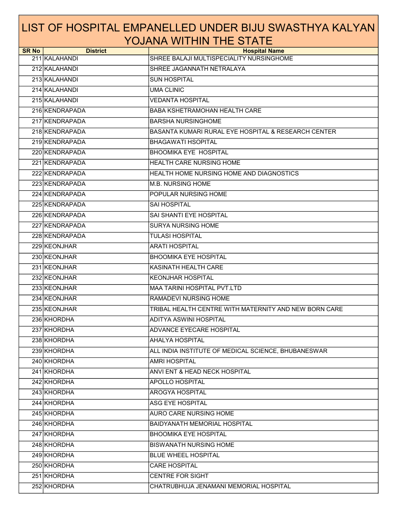| <b>SR No</b> | <b>District</b> | <b>Hospital Name</b>                                  |
|--------------|-----------------|-------------------------------------------------------|
|              | 211 KALAHANDI   | SHREE BALAJI MULTISPECIALITY NURSINGHOME              |
|              | 212 KALAHANDI   | SHREE JAGANNATH NETRALAYA                             |
|              | 213 KALAHANDI   | <b>SUN HOSPITAL</b>                                   |
|              | 214 KALAHANDI   | <b>UMA CLINIC</b>                                     |
|              | 215 KALAHANDI   | <b>VEDANTA HOSPITAL</b>                               |
|              | 216 KENDRAPADA  | <b>BABA KSHETRAMOHAN HEALTH CARE</b>                  |
|              | 217 KENDRAPADA  | <b>BARSHA NURSINGHOME</b>                             |
|              | 218 KENDRAPADA  | BASANTA KUMARI RURAL EYE HOSPITAL & RESEARCH CENTER   |
|              | 219 KENDRAPADA  | <b>BHAGAWATI HSOPITAL</b>                             |
|              | 220 KENDRAPADA  | <b>BHOOMIKA EYE HOSPITAL</b>                          |
|              | 221 KENDRAPADA  | HEALTH CARE NURSING HOME                              |
|              | 222 KENDRAPADA  | HEALTH HOME NURSING HOME AND DIAGNOSTICS              |
|              | 223 KENDRAPADA  | <b>M.B. NURSING HOME</b>                              |
|              | 224 KENDRAPADA  | POPULAR NURSING HOME                                  |
|              | 225 KENDRAPADA  | SAI HOSPITAL                                          |
|              | 226 KENDRAPADA  | SAI SHANTI EYE HOSPITAL                               |
|              | 227 KENDRAPADA  | <b>SURYA NURSING HOME</b>                             |
|              | 228 KENDRAPADA  | <b>TULASI HOSPITAL</b>                                |
|              | 229 KEONJHAR    | <b>ARATI HOSPITAL</b>                                 |
|              | 230 KEONJHAR    | <b>BHOOMIKA EYE HOSPITAL</b>                          |
|              | 231 KEONJHAR    | KASINATH HEALTH CARE                                  |
|              | 232 KEONJHAR    | <b>KEONJHAR HOSPITAL</b>                              |
|              | 233 KEONJHAR    | <b>MAA TARINI HOSPITAL PVT.LTD</b>                    |
|              | 234 KEONJHAR    | <b>RAMADEVI NURSING HOME</b>                          |
|              | 235 KEONJHAR    | TRIBAL HEALTH CENTRE WITH MATERNITY AND NEW BORN CARE |
|              | 236 KHORDHA     | ADITYA ASWINI HOSPITAL                                |
|              | 237 KHORDHA     | <b>ADVANCE EYECARE HOSPITAL</b>                       |
|              | 238 KHORDHA     | <b>AHALYA HOSPITAL</b>                                |
|              | 239 KHORDHA     | ALL INDIA INSTITUTE OF MEDICAL SCIENCE, BHUBANESWAR   |
|              | 240 KHORDHA     | <b>AMRI HOSPITAL</b>                                  |
|              | 241 KHORDHA     | ANVI ENT & HEAD NECK HOSPITAL                         |
|              | 242 KHORDHA     | APOLLO HOSPITAL                                       |
|              | 243 KHORDHA     | AROGYA HOSPITAL                                       |
|              | 244 KHORDHA     | ASG EYE HOSPITAL                                      |
|              | 245 KHORDHA     | <b>AURO CARE NURSING HOME</b>                         |
|              | 246 KHORDHA     | BAIDYANATH MEMORIAL HOSPITAL                          |
|              | 247 KHORDHA     | <b>BHOOMIKA EYE HOSPITAL</b>                          |
|              | 248 KHORDHA     | <b>BISWANATH NURSING HOME</b>                         |
|              | 249 KHORDHA     | <b>BLUE WHEEL HOSPITAL</b>                            |
|              | 250 KHORDHA     | <b>CARE HOSPITAL</b>                                  |
|              | 251 KHORDHA     | CENTRE FOR SIGHT                                      |
|              | 252 KHORDHA     | CHATRUBHUJA JENAMANI MEMORIAL HOSPITAL                |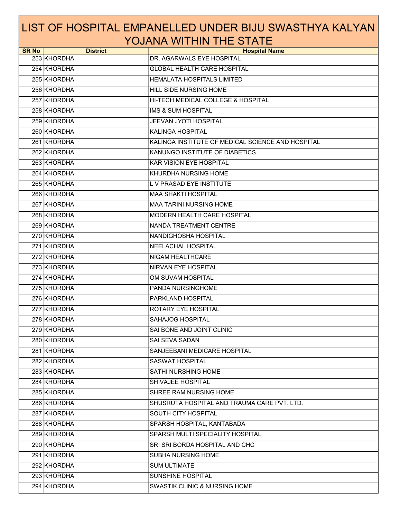| <b>SR No</b> | <b>District</b> | <b>Hospital Name</b>                              |
|--------------|-----------------|---------------------------------------------------|
|              | 253 KHORDHA     | DR. AGARWALS EYE HOSPITAL                         |
|              | 254 KHORDHA     | <b>GLOBAL HEALTH CARE HOSPITAL</b>                |
|              | 255 KHORDHA     | <b>HEMALATA HOSPITALS LIMITED</b>                 |
|              | 256 KHORDHA     | HILL SIDE NURSING HOME                            |
|              | 257 KHORDHA     | HI-TECH MEDICAL COLLEGE & HOSPITAL                |
|              | 258 KHORDHA     | <b>IMS &amp; SUM HOSPITAL</b>                     |
|              | 259 KHORDHA     | JEEVAN JYOTI HOSPITAL                             |
|              | 260 KHORDHA     | <b>KALINGA HOSPITAL</b>                           |
|              | 261 KHORDHA     | KALINGA INSTITUTE OF MEDICAL SCIENCE AND HOSPITAL |
|              | 262 KHORDHA     | KANUNGO INSTITUTE OF DIABETICS                    |
|              | 263 KHORDHA     | <b>KAR VISION EYE HOSPITAL</b>                    |
|              | 264 KHORDHA     | KHURDHA NURSING HOME                              |
|              | 265 KHORDHA     | L V PRASAD EYE INSTITUTE                          |
|              | 266 KHORDHA     | <b>MAA SHAKTI HOSPITAL</b>                        |
|              | 267 KHORDHA     | <b>MAA TARINI NURSING HOME</b>                    |
|              | 268 KHORDHA     | MODERN HEALTH CARE HOSPITAL                       |
|              | 269 KHORDHA     | <b>NANDA TREATMENT CENTRE</b>                     |
|              | 270 KHORDHA     | NANDIGHOSHA HOSPITAL                              |
|              | 271 KHORDHA     | NEELACHAL HOSPITAL                                |
|              | 272 KHORDHA     | NIGAM HEALTHCARE                                  |
|              | 273 KHORDHA     | NIRVAN EYE HOSPITAL                               |
|              | 274 KHORDHA     | OM SUVAM HOSPITAL                                 |
|              | 275 KHORDHA     | PANDA NURSINGHOME                                 |
|              | 276 KHORDHA     | PARKLAND HOSPITAL                                 |
|              | 277 KHORDHA     | ROTARY EYE HOSPITAL                               |
|              | 278 KHORDHA     | SAHAJOG HOSPITAL                                  |
|              | 279 KHORDHA     | SAI BONE AND JOINT CLINIC                         |
|              | 280 KHORDHA     | <b>SAI SEVA SADAN</b>                             |
|              | 281 KHORDHA     | SANJEEBANI MEDICARE HOSPITAL                      |
|              | 282 KHORDHA     | <b>SASWAT HOSPITAL</b>                            |
|              | 283 KHORDHA     | SATHI NURSHING HOME                               |
|              | 284 KHORDHA     | SHIVAJEE HOSPITAL                                 |
|              | 285 KHORDHA     | SHREE RAM NURSING HOME                            |
|              | 286 KHORDHA     | SHUSRUTA HOSPITAL AND TRAUMA CARE PVT. LTD.       |
|              | 287 KHORDHA     | SOUTH CITY HOSPITAL                               |
|              | 288 KHORDHA     | SPARSH HOSPITAL, KANTABADA                        |
|              | 289 KHORDHA     | SPARSH MULTI SPECIALITY HOSPITAL                  |
|              | 290 KHORDHA     | SRI SRI BORDA HOSPITAL AND CHC                    |
|              | 291 KHORDHA     | SUBHA NURSING HOME                                |
|              | 292 KHORDHA     | <b>SUM ULTIMATE</b>                               |
|              | 293 KHORDHA     | SUNSHINE HOSPITAL                                 |
|              | 294 KHORDHA     | <b>SWASTIK CLINIC &amp; NURSING HOME</b>          |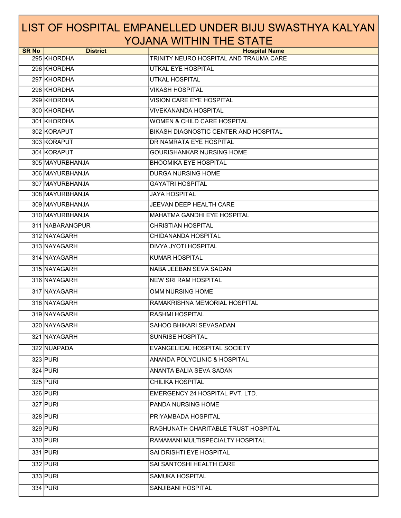| <b>SR No</b> | <b>District</b> | <b>Hospital Name</b>                   |
|--------------|-----------------|----------------------------------------|
|              | 295 KHORDHA     | TRINITY NEURO HOSPITAL AND TRAUMA CARE |
|              | 296 KHORDHA     | UTKAL EYE HOSPITAL                     |
|              | 297 KHORDHA     | <b>UTKAL HOSPITAL</b>                  |
|              | 298 KHORDHA     | <b>VIKASH HOSPITAL</b>                 |
|              | 299 KHORDHA     | VISION CARE EYE HOSPITAL               |
|              | 300 KHORDHA     | <b>VIVEKANANDA HOSPITAL</b>            |
|              | 301 KHORDHA     | <b>WOMEN &amp; CHILD CARE HOSPITAL</b> |
|              | 302 KORAPUT     | BIKASH DIAGNOSTIC CENTER AND HOSPITAL  |
|              | 303 KORAPUT     | DR NAMRATA EYE HOSPITAL                |
|              | 304 KORAPUT     | GOURISHANKAR NURSING HOME              |
|              | 305 MAYURBHANJA | <b>BHOOMIKA EYE HOSPITAL</b>           |
|              | 306 MAYURBHANJA | DURGA NURSING HOME                     |
|              | 307 MAYURBHANJA | <b>GAYATRI HOSPITAL</b>                |
|              | 308 MAYURBHANJA | <b>JAYA HOSPITAL</b>                   |
|              | 309 MAYURBHANJA | JEEVAN DEEP HEALTH CARE                |
|              | 310 MAYURBHANJA | <b>MAHATMA GANDHI EYE HOSPITAL</b>     |
|              | 311 NABARANGPUR | <b>CHRISTIAN HOSPITAL</b>              |
|              | 312 NAYAGARH    | CHIDANANDA HOSPITAL                    |
|              | 313 NAYAGARH    | DIVYA JYOTI HOSPITAL                   |
|              | 314 NAYAGARH    | <b>KUMAR HOSPITAL</b>                  |
|              | 315 NAYAGARH    | NABA JEEBAN SEVA SADAN                 |
|              | 316 NAYAGARH    | <b>NEW SRI RAM HOSPITAL</b>            |
|              | 317 NAYAGARH    | OMM NURSING HOME                       |
|              | 318 NAYAGARH    | RAMAKRISHNA MEMORIAL HOSPITAL          |
|              | 319 NAYAGARH    | <b>RASHMI HOSPITAL</b>                 |
|              | 320 NAYAGARH    | SAHOO BHIKARI SEVASADAN                |
|              | 321 NAYAGARH    | <b>SUNRISE HOSPITAL</b>                |
|              | 322 NUAPADA     | EVANGELICAL HOSPITAL SOCIETY           |
|              | 323 PURI        | ANANDA POLYCLINIC & HOSPITAL           |
|              | 324 PURI        | ANANTA BALIA SEVA SADAN                |
|              | 325 PURI        | CHILIKA HOSPITAL                       |
|              | 326 PURI        | EMERGENCY 24 HOSPITAL PVT. LTD.        |
|              | 327 PURI        | PANDA NURSING HOME                     |
|              | 328 PURI        | PRIYAMBADA HOSPITAL                    |
|              | 329 PURI        | RAGHUNATH CHARITABLE TRUST HOSPITAL    |
|              | 330 PURI        | RAMAMANI MULTISPECIALTY HOSPITAL       |
|              | 331 PURI        | SAI DRISHTI EYE HOSPITAL               |
|              | 332 PURI        | SAI SANTOSHI HEALTH CARE               |
|              | 333 PURI        | <b>SAMUKA HOSPITAL</b>                 |
|              | 334 PURI        | SANJIBANI HOSPITAL                     |